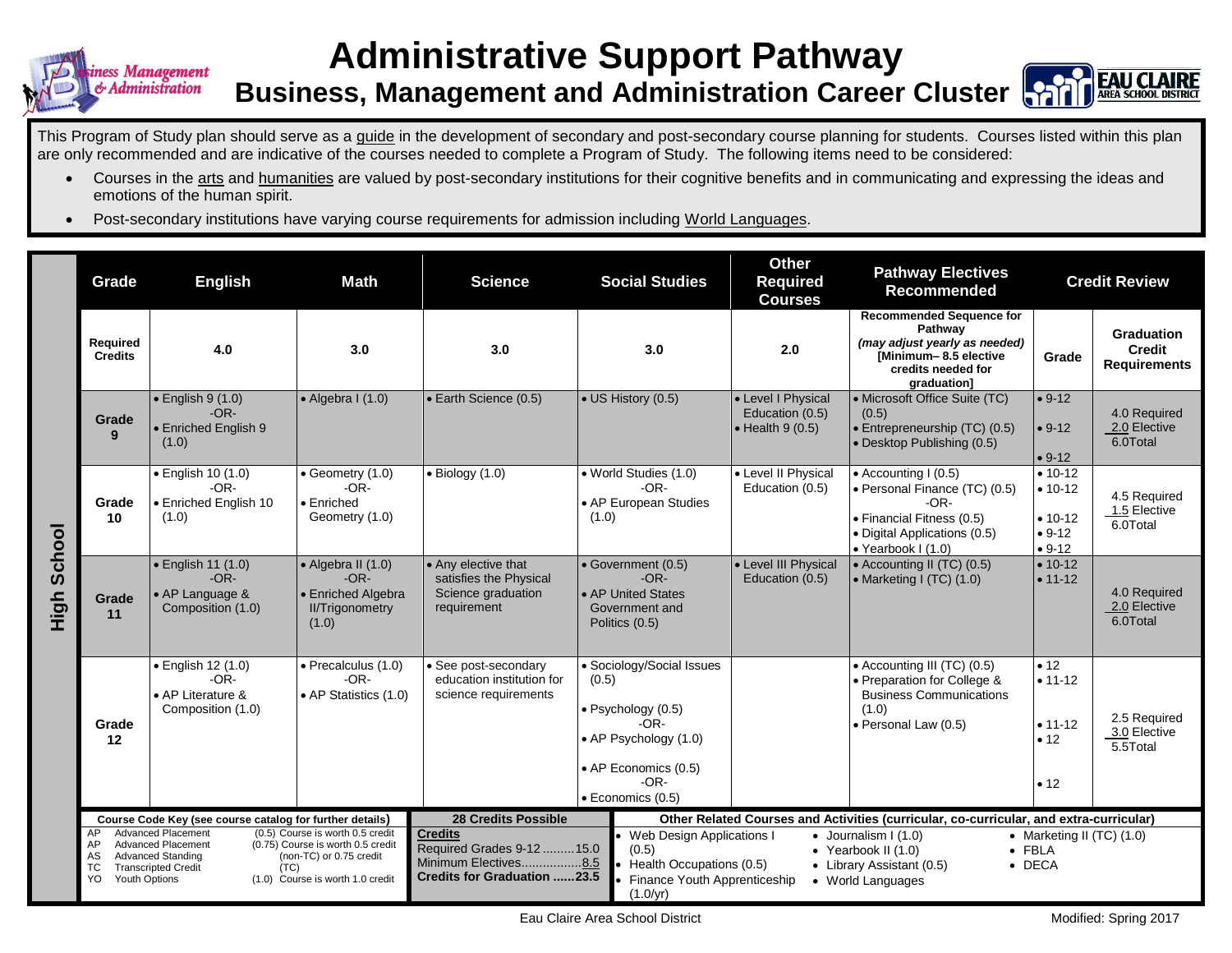

## **Administrative Support Pathway**



**Business, Management and Administration Career Cluster**

This Program of Study plan should serve as a guide in the development of secondary and post-secondary course planning for students. Courses listed within this plan are only recommended and are indicative of the courses needed to complete a Program of Study. The following items need to be considered:

- Courses in the arts and humanities are valued by post-secondary institutions for their cognitive benefits and in communicating and expressing the ideas and emotions of the human spirit.
- Post-secondary institutions have varying course requirements for admission including World Languages.

|                  | Grade                                                                                 | <b>English</b>                                                                              | <b>Math</b>                                                                                                                          | <b>Science</b>                                                                                             | <b>Social Studies</b>                                                                                                                                      | <b>Other</b><br><b>Required</b><br><b>Courses</b>                                      | <b>Pathway Electives</b><br><b>Recommended</b>                                                                                                             |                                                             | <b>Credit Review</b>                                      |
|------------------|---------------------------------------------------------------------------------------|---------------------------------------------------------------------------------------------|--------------------------------------------------------------------------------------------------------------------------------------|------------------------------------------------------------------------------------------------------------|------------------------------------------------------------------------------------------------------------------------------------------------------------|----------------------------------------------------------------------------------------|------------------------------------------------------------------------------------------------------------------------------------------------------------|-------------------------------------------------------------|-----------------------------------------------------------|
|                  | Required<br><b>Credits</b>                                                            | 4.0                                                                                         | 3.0                                                                                                                                  | 3.0                                                                                                        | 3.0                                                                                                                                                        | 2.0                                                                                    | <b>Recommended Sequence for</b><br>Pathway<br>(may adjust yearly as needed)<br>Minimum-8.5 elective<br>credits needed for<br>graduation]                   | Grade                                                       | <b>Graduation</b><br><b>Credit</b><br><b>Requirements</b> |
| School<br>ら<br>王 | Grade<br>9                                                                            | $\bullet$ English 9 (1.0)<br>$-OR-$<br>• Enriched English 9<br>(1.0)                        | $\bullet$ Algebra I (1.0)                                                                                                            | • Earth Science (0.5)                                                                                      | • US History (0.5)                                                                                                                                         | • Level I Physical<br>Education (0.5)<br>$\bullet$ Health 9 (0.5)                      | • Microsoft Office Suite (TC)<br>(0.5)<br>· Entrepreneurship (TC) (0.5)<br>• Desktop Publishing (0.5)                                                      | $• 9-12$<br>$• 9-12$<br>$• 9-12$                            | 4.0 Required<br>2.0 Elective<br>6.0Total                  |
|                  | Grade<br>10                                                                           | · English 10 (1.0)<br>$-OR-$<br>• Enriched English 10<br>(1.0)                              | $\bullet$ Geometry (1.0)<br>$-OR-$<br>$\bullet$ Enriched<br>Geometry (1.0)                                                           | $\bullet$ Biology (1.0)                                                                                    | · World Studies (1.0)<br>$-OR-$<br>• AP European Studies<br>(1.0)                                                                                          | • Level II Physical<br>Education (0.5)                                                 | $\bullet$ Accounting I (0.5)<br>· Personal Finance (TC) (0.5)<br>$-OR-$<br>• Financial Fitness (0.5)<br>• Digital Applications (0.5)<br>• Yearbook I (1.0) | $• 10-12$<br>$• 10-12$<br>$• 10-12$<br>$• 9-12$<br>$• 9-12$ | 4.5 Required<br>1.5 Elective<br>6.0Total                  |
|                  | Grade<br>11                                                                           | • English 11 (1.0)<br>$-OR-$<br>• AP Language &<br>Composition (1.0)                        | • Algebra II (1.0)<br>$-OR-$<br>• Enriched Algebra<br><b>II/Trigonometry</b><br>(1.0)                                                | • Any elective that<br>satisfies the Physical<br>Science graduation<br>requirement                         | • Government (0.5)<br>$-OR-$<br>• AP United States<br>Government and<br>Politics (0.5)                                                                     | • Level III Physical<br>Education (0.5)                                                | • Accounting II (TC) (0.5)<br>• Marketing I (TC) (1.0)                                                                                                     | $• 10-12$<br>$• 11 - 12$                                    | 4.0 Required<br>2.0 Elective<br>6.0Total                  |
|                  | Grade<br>12                                                                           | · English 12 (1.0)<br>$-OR-$<br>• AP Literature &<br>Composition (1.0)                      | · Precalculus (1.0)<br>$-OR-$<br>• AP Statistics (1.0)                                                                               | · See post-secondary<br>education institution for<br>science requirements                                  | • Sociology/Social Issues<br>(0.5)<br>$\bullet$ Psychology (0.5)<br>$-OR-$<br>• AP Psychology (1.0)<br>• AP Economics (0.5)<br>$-OR-$<br>· Economics (0.5) |                                                                                        | • Accounting III (TC) (0.5)<br>• Preparation for College &<br><b>Business Communications</b><br>(1.0)<br>· Personal Law (0.5)                              | • 12<br>$• 11 - 12$<br>$• 11 - 12$<br>• 12<br>• 12          | 2.5 Required<br>3.0 Elective<br>5.5Total                  |
|                  | Course Code Key (see course catalog for further details)<br><b>Advanced Placement</b> |                                                                                             |                                                                                                                                      | <b>28 Credits Possible</b>                                                                                 |                                                                                                                                                            | Other Related Courses and Activities (curricular, co-curricular, and extra-curricular) |                                                                                                                                                            |                                                             |                                                           |
|                  | AP<br>AP<br>AS<br>TC.<br>YO<br><b>Youth Options</b>                                   | <b>Advanced Placement</b><br><b>Advanced Standing</b><br><b>Transcripted Credit</b><br>(TC) | (0.5) Course is worth 0.5 credit<br>(0.75) Course is worth 0.5 credit<br>(non-TC) or 0.75 credit<br>(1.0) Course is worth 1.0 credit | <b>Credits</b><br>Required Grades 9-12  15.0<br>Minimum Electives8.5<br><b>Credits for Graduation 23.5</b> | Web Design Applications I<br>(0.5)<br>Health Occupations (0.5)<br>Finance Youth Apprenticeship<br>(1.0/yr)                                                 |                                                                                        | $\bullet$ Journalism I (1.0)<br>• Yearbook II $(1.0)$<br>• Library Assistant (0.5)<br>• World Languages                                                    | $\bullet$ FBLA<br>$\bullet$ DECA                            | • Marketing II (TC) $(1.0)$                               |